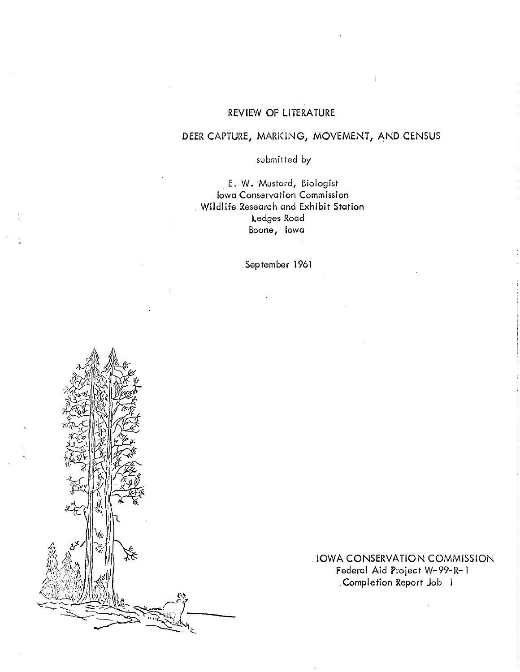# REVIEW OP LITERATURE

## DEER CAPTURE, MARKING, MOVEMENT, AND CENSUS

## submitted by

E. W. Mustard, Biologist Iowa Conservation Commission . Wildlife Research and Exhibit Station Ledges Road Boone, Iowa

September 1961



IOWA CONSERVATION COMMISSION Federal Aid Project W-99-R-1 . Completion Report Job 1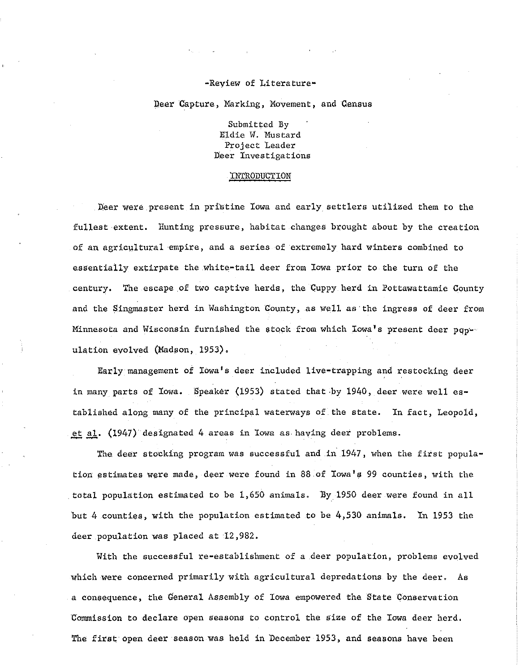## -Reyiew of Literature-

Deer Capture, Marking, Movement, and Census

Submitted By Eldie W. Mustard Project Leader Deer Investigations

#### INTRODUCTION

Deer were present in pristine Iowa and early settlers utilized them to the fullest extent. Hunting pressure, habitat changes brought about by the creation of an agricultural empire, and a series of extremely hard winters combined to essentially extirpate the white-tail deer from Iowa prior to the turn of the century. The escape of two captive herds, the Cuppy herd in Pottawattamie County and the Singmaster herd in Washington County, as well as the ingress of deer from Minnesota and Wisconsin furnished the stock from which Iowa's present deer  $pq_0$ -ulation evolved (Madson, 1953).

Early management of Iowa's deer included live-trapping and restocking deer in many parts of Iowa. Speaker (1953) stated that by 1940, deer were well established along many of the principal waterways of the state. In fact, Leopold, et al. (1947) designated 4 areas in Iowa as having deer problems.

The deer stocking program was successful and in  $1947$ , when the first population estimates were made, deer were found in 88 of Iowa's 99 counties, with the total population estimated to be  $1,650$  animals. By 1950 deer were found in all but 4 counties, with the population estimated to be 4,530 animals. In 1953 the deer population was placed at 12,982.

With the successful re-establishment of a deer population, problems evolved which were concerned primarily with agricultural depredations by the deer. As a consequence, the General Assembly of Iowa empowered the State Conservation Commission to declare open seasons to control the size of the Iowa deer herd. The first open deer season was held in December 1953, and seasons have been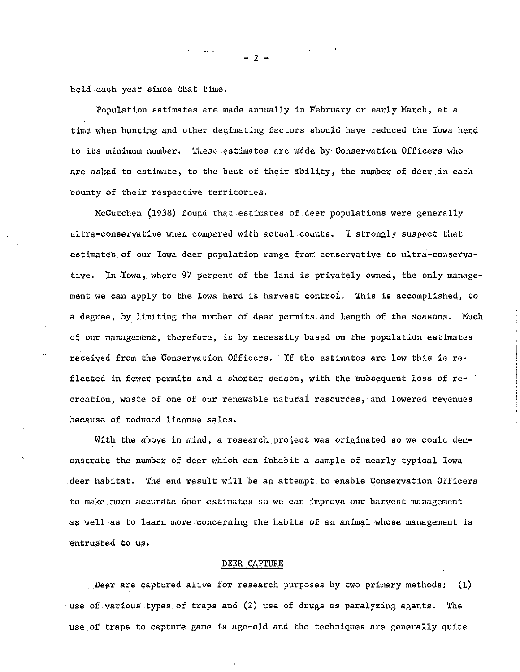held each year since that time.

Population estimates are made annually in February or early March, at a time when hunting and other decimating factors should have reduced the lowa herd to its minimum number. These estimates are made by Conservation Officers who are asked to estimate, to the best of their ability, the number of deer in each ·county of their respective territories.

McCutchen (1938) ,found that estimates of deer populations were generally ultra-conservative when compared with actual counts. I strongly suspect that estimates of our Iowa deer population range from conservative *to* ultra-conservative. In Iowa, where 97 percent of the land is privately owned, the only management we can apply to the Iowa herd is harvest control. This is accomplished, to a degree, by limiting the.number of deer permits and length of the seasons. Much of our management, therefore, is by necessity based on the population estimates received from the Conservation Officers. lf the estimates are low this is reflected in fewer permits and a shorter season, with the subsequent loss of recreation, waste of one of our renewable natural resources, and lowered revenues because of reduced license sales.

With the above in mind, a research project was originated so we could demonstrate the number of deer which can inhabit a sample of nearly typical Iowa deer habitat. The end result will be an attempt to enable Conservation Officers to make more accurate deer estimates so we can improve our harvest management as well as. to learn more concerning the habits of an animal whose.management is entrusted to us.

## DEER CAPTURE

Deer are captured alive for research purposes by two primary methods:  $(1)$ use of various types of traps and (2) use of drugs as paralyzing agents. The use of traps to capture game is age-old and the techniques are generally quite

- 2 -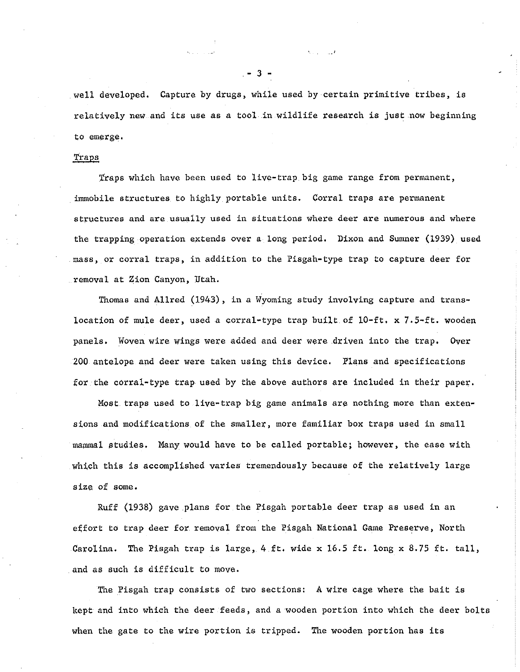.well developed. Capture by drugs, while used by certain primitive tribes, is relatively new and its use as a tool in wildlife research is just.now beginning to emerge,

 $\mathcal{F}$ 

### Traps

Traps which have been used to live-trap big game range from permanent, immobile structures. to highly portable units. Corral traps are permanent structures and are usually used in situations where deer are numerous and where the trapping operation extends over a long period. Dixon and Sumner (1939) used mass, or corral traps, in addition to the Pisgah-type trap to capture deer for removal at Zion Canyon, Utah.

Thomas and Allred (1943), in a Wyoming study involving capture and translocation of mule deer, used a corral-type trap built of 10-ft, x 7.5-ft. wooden panels. Woven wire wings were added and deer were driven into the trap. Over 200 antelope and deer were taken using this device. Plans and specifications for the corral-type trap used by the above authors are included in their paper.

Most traps used to live-trap big game animals are nothing more than extensions and modifications of the smaller, more familiar box traps used in small mammal studies. Many would have to be called portable; however, the ease with which this is accomplished varies tremendously because of the relatively large size o£ some.

Ruff (1938) gave plans for the Pisgah portable deer trap as used in an effort to trap deer for removal from the Pisgah National Game Preserve, North Carolina. The Pisgah trap is large, 4 ft. wide x 16.5 ft. long x 8.75 ft. tall, and as such is difficult to move.

The Pisgah trap consists of two sections: A wire cage where the bait is kept and into which the deer feeds, and a wooden portion into which the deer bolts when the gate to the wire portion is tripped. The wooden portion has its

 $-3 -$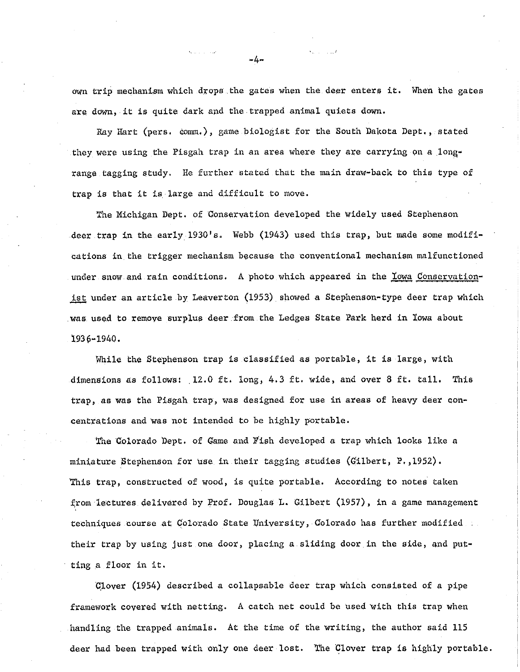own trip mechanism which drops the gates when the deer enters it. When the gates are down, it is quite dark and the trapped animal quiets down.

Ray Hart (pers. domm.), game biologist for the South Dakota Dept., stated they were using the Pisgah trap in an area where they are carrying on a longrange tagging study. He further stated that the main draw-back to this type of trap is that it is large and difficult to move.

'rhe Michigan Dept. of Conservation developed the widely used Stephenson deer trap in the early 1930's. Webb (1943) used this trap, but made some modifications in the trigger mechanism because the conventional mechanism malfunctioned under snow and rain conditions. A photo which appeared in the Lowa Conservationist under an article by Leaverton (1953) showed a Stephenson-type deer trap which was used to remove surplus deer from the Ledges State Park herd in lowa about 1931)-1940.

While the Stephenson trap is classified as portable, it is large, with dimensions as follows:  $12.0$  ft. long,  $4.3$  ft. wide, and over 8 ft. tall. This trap, as was the Pisgah trap, was designed for use in areas of heavy deer concentrations and was not intended to be highly portable.

The Colorado Dept. of Game and Fish developed a trap which looks like a miniature Stephenson for use in their tagging studies (Gilbert, P.,l952). This trap, constructed of wood, is quite portable. According to notes taken from lectures delivered by Prof. Douglas L. Gilbert (1957), in a game management techniques course at Colorado State University, Colorado has further modified : their trap by using just one door, placing a sliding door in the side, and putting a floor in it.

 $C1over (1954)$  described a collapsable deer trap which consisted of a pipe framework covered with netting. A catch net could be used with this trap when handling the trapped animals. At the time of the writing, the author said 115 deer had been trapped with only one deer lost. The Clover trap is highly portable.

 $-4-$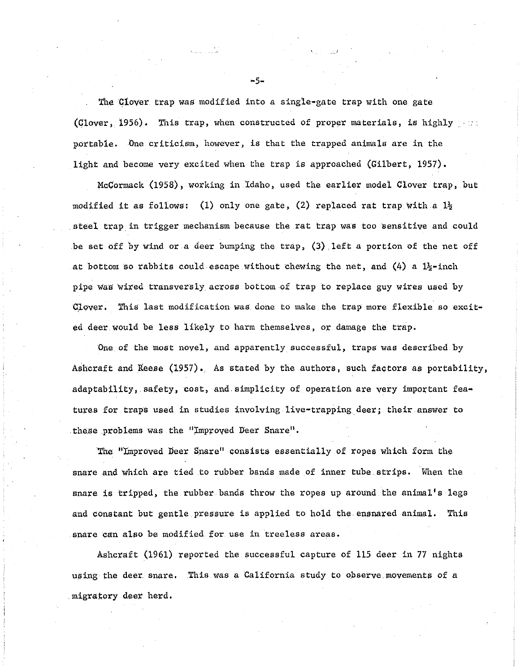The Clover trap was modified into a single-gate trap with one gate (Clover, 1956). This trap, when constructed of proper materials, ia highly portable. One criticism, however, is that the trapped animals are in the light and become very excited when the trap is approached (Gilbert, 1957).

 $\mathbb{R}^J$ 

McCormack (1958), working in Idaho, used the earlier model Clover trap, but modified it as follows: (1) only one gate, (2) replaced rat trap with a  $1\frac{1}{2}$ steel trap in trigger mechanism because the rat trap was too sensitive and could be set off by wind or a deer bumping the trap, (3) left a portion of the net off at bottom so rabbits could escape without chewing the net, and  $(4)$  a  $1/2$ -inch pipe was wired transversly across bottom-of trap to replace guy wires used by Clover. This last modification was done to make the trap more flexible so excited deer would be less likely to harm themselves, or damage the trap.

One of the most novel, and apparently successful, traps was described by Ashcraft and Reese (1957). As stated by the authors, such factors as portability, adaptability, safety, cost, and simplicity of operation are very important features for traps used in studies involving live-trapping deer; their answer to these problems was the "Improved Deer Snare".

The "Improved Deer Snare" consists essentially of ropes which form the snare and which are tied to rubber bands made of inner tube strips. When the snare is tripped, the rubber bands throw the ropes up around the animal's legs and constant but gentle pressure is applied to hold the ensnared animal. This snare can also be modified for use in treeless areas.

Ashcraft (1961) reported the successful capture of 115 deer in 77 nights using the deer snare. This was a California study to observe movements of a migratory deer herd.

•5-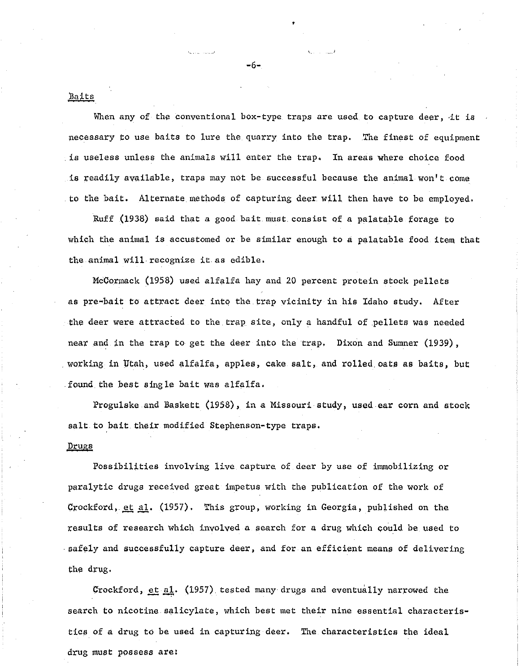#### Baits

When any of the conventional box-type traps are used to capture deer, it is necessary to use baits to lure the quarry into the trap. The finest of equipment is useless unless the animals will enter the trap. In areas where choice food is readily available, traps may not be successful because the animal won't come to the bait. Alternate methods of capturing deer will then have to be employed.

*, \_\_ ,!* 

Ruff (1938) said that a good bait. must consist of a palatable forage to which the animal is accustomed or be similar enough *to* a palatable food item that the animal will recognize it as edible.

McCormack (1958) used alfalfa hay and 20 percent protein stock pellets as pre-bait to attract deer into the trap vicinity in his Idaho study. After the deer were attracted to the trap site, only a handful of pellets was needed near and in the trap *to* get the deer into the trap. Dixon and Sumner (1939), working in Utah, used alfalfa, apples, cake salt, and rolled oats as baits, but found the best single bait was alfalfa,

Progulske and Baskett (1958), in a Missouri study, used ear corn and stock salt to bait their modified Stephenson-type traps.

#### Drugs

Possibilities involving live capture of deer by use of immobilizing or paralytic drugs received great impetus with the publication of the work of Crockford, et al. (1957). This group, working in Georgia, published on the results of research which involved a search for a drug which could be used *to*  . safely and successfully capture deer, and for an efficient means of delivering the drug.

Crockford,  $et$   $a1.$  (1957) tested many drugs and eventually narrowed the search to nicotine salicylate, which best met their nine essential characteristics of a drug to be used in capturing deer. The characteristics the ideal drug must possess are:

-6-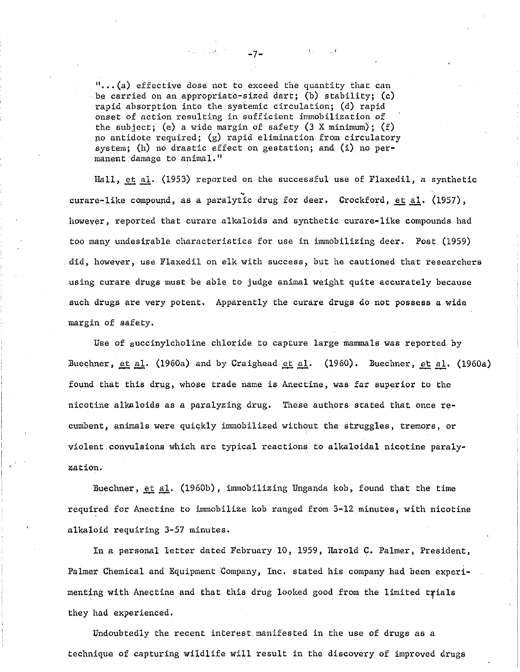<sup>11</sup> • ,., (a) effective dose not *to* exceed the quantity that can be carried on an appropriate-sized dart; (b) stability; (c) rapid absorption into the systemic circulation; (d) rapid onset of action resulting in sufficient immobilization of the subject; (e) a wide margin of safety  $(3 \tImes X \tminnum); (f)$ no antidote required; (g) rapid elimination from circulatory system; (h) no drastic effect on gestation; and (i) no permanent damage to animal."

-7-

Hall, et al. (1953) reported on the successful use of Flaxedil, a synthetic curare-like compound, as a paralytic drug for deer. Crockford, et al. (1957), however, reported that curare alkaloids and synthetic curare-like compounds had too many undesigable characteristics for use in immobilizing deer. Post (1959) did, however, use Flaxedil on elk with success, but he cautioned that researchers using curare drugs must be able to judge animal weight quite accurately because such drugs are very potent. Apparently the curare drugs do not possess a wide margin of safety.

lise of succinylcholine chloride *to* capture large mammals was reported by Buechner,  $et$   $al.$  (1960a) and by Craighead  $et$   $al.$  (1960). Buechner,  $et$   $al.$  (1960a) found that this drug, whose trade name is Anectine, was far superior *to* the nicotine alkaloids as a paralyzing drug. These authors stated that once recumbent, animals were quickly immobilized without the struggles, tremors, or violent convulsions which are typical reactions to alkaloidal nicotine paralyzation.

Buechner, et al. (1960b), immobilizing Unganda kob, found that the time required for Anectine to immobilize kob ranged from 3-12 minutes, with nicotine alkaloid requiring 3-57 minutes.

In a personal letter dated February 10, 1959, Harold C. Palmer, President, Palmer Chemical and Equipment Company, Inc. stated his company had been experimenting with Anectine and that this drug looked good from the limited trials they had experienced.

Vndoubtedly the recent interest manifested in the use of drugs as a technique of capturing wildlife will result in the discovery of improved drugs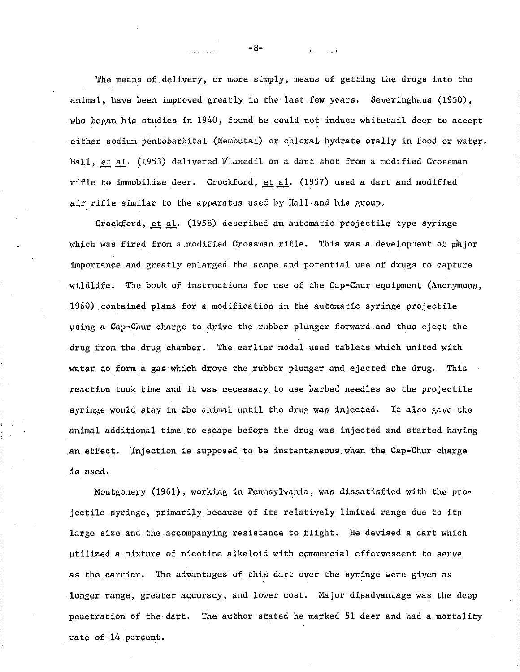The means of delivery, or more simply, means of getting the drugs into the animal, have been improved greatly in the last few years, Severinghaus (1950), who began his studies in 1940, found he could not induce whitetail deer to accept either sodium pentobarbital (Nembutal) or chloral hydrate orally in food or water. Hall, et al. (1953) delivered Flaxedil on a dart shot from a modified Crossman rifle to immobilize deer. Crockford,  $et$   $al.$  (1957) used a dart and modified air rifle similar to the apparatus used by Hall. and his group.

Crockford, et al. (1958) described an automatic projectile type syringe which was fired from a modified Crossman rifle. This was a development of  $m$ ior importance and greatly enlarged the.scope and potential use of drugs to capture wildlife. The book of instructions for use of the Cap-Chur equipment (Anonymous, 1960) contained plans for a modification in the automatic syringe projectile using a Cap-Chur charge to drive the rubber plunger forward and thus eject the drug from the drug chamber. The earlier model used tablets which united with water to form a gas which drove the rubber plunger and ejected the drug. This reaction took time and it was necessary to use barbed needles so the projectile syringe would stay in the animal until the drug was injected. It also gave the animal additional time to escape before the drug was injected and started having an effect. Injection is supposed to be instantaneous when the Cap-Chur charge is used.

Montgomery (1961), working in Pennsylvania, was dissatisfied with the projectile syringe, primarily because of its relatively limited range due to its ·large size and the accompanying resistance to flight. He devised a dart which utilized a mixture of nicotine alkaloid with commercial efferyescent to serve as the carrier. The advantages of this dart over the syringe were given as longer range, greater accuracy, and lower cost. Major disadvantage was the deep penetration of the dart. The author stated he marked 51 deer and had a mortality rate of 14 percent.

-8-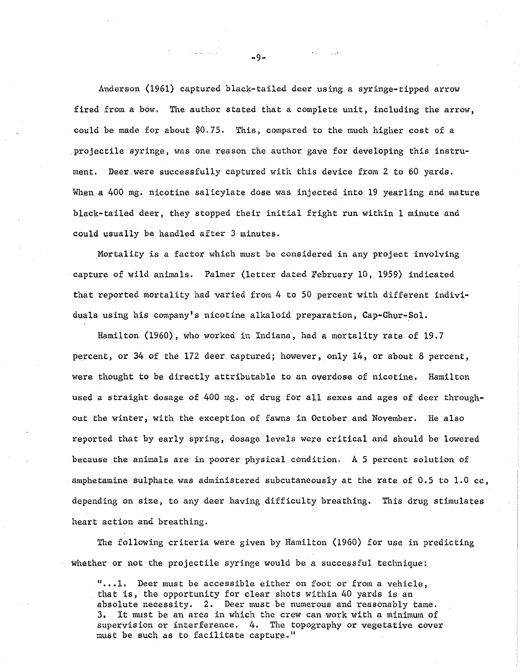Anderson (1961) captured black-tailed deer using a syringe-tipped arrow fired from a bow. The author stated that a complete unit, including the arrow, could be made for about  $$0.75$ . This, compared to the much higher cost of a projectile syringe, was one reason the author gave for developing this instrument. Deer were successfully captured with this device from 2 to 60 yards. When a 400 mg. nicotine salicylate dose was injected into 19 yearling and mature black-tailed deer, they stopped their initial fright run within 1 minute and could usually be handled after 3 minutes.

Mortality is a factor which must be considered in any project involving capture of wild animals. Palmer (letter dated February 10, 1959) indicated that reported mortality had varied from 4 to 50 percent with different individuals using his company's nicotine alkaloid preparation, Cap-Chur-Sol.

Hamilton (1960), who worked in Indiana, had a mortality rate of 19.7 percent, or 34 of the 172 deer captured; however, only 14, or about 8 percent, were thought to be directly attributable to an overdose of nicotine. Hamilton used a straight dosage of 400 mg. of drug for all sexes and ages of deer throughout the winter, with the exception of fawns in October and November. He also reported that by early spring, dosage levels were critical and should be lowered because the animals are in poorer physical condition. A 5 percent solution of amphetamine sulphate was administered subcutaneously at the rate of 0.5 to 1.0 cc, depending on size, to any deer having difficulty breathing. This drug stimulates heart action and breathing.

The following criteria were given by Hamilton (1960) for use in predicting whether or not the projectile syringe would be a successful technique:

11 ••• 1. Deer must be accessible either on foot or from a vehicle, that is, the opportunity for clear shots within 40 yards is an absolute necessity. 2. Deer must be numerous and reasonably tame. 3. It must be an area in which the crew can work with a minimum of supervision or interference. 4. The topography or vegetative cover must be such as to facilitate capture."

 $-9-$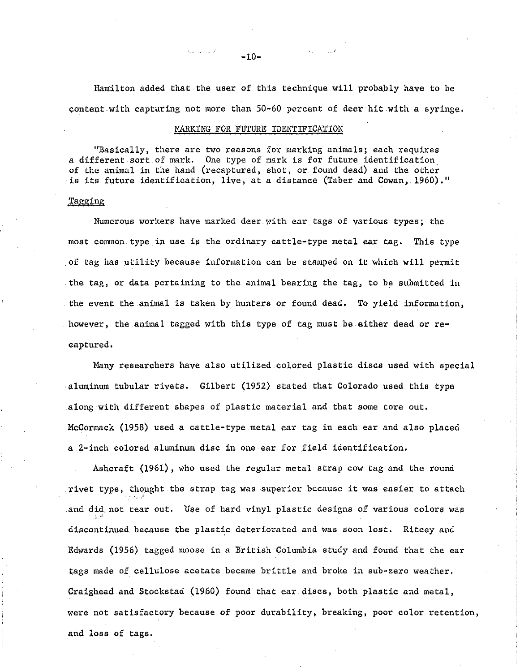Hamilton added that the user of this technique will probably have to be content with capturing not more than 50-60 percent of deer hit with a syringe,

#### MARKING FOR FUTURE IDENTIFICATION

11)lasically, there are two reasons for marking animals; each requires a different sort. of mark. One type of mark is for future identification of the animal in the hand (recaptured, shot, or found dead) and the other is its future identification, live, at a distance (Taber and Cowan, 1960)."

#### **Tagging**

Numerous workers have marked deer with ear tags of various types; the most common type in use is the ordinary cattle-type metal ear tag. This type of tag has utility because information can be stamped on it which. will permit the tag, or data pertaining to the animal bearing the tag, to be submitted in the event the animal is taken by hunters or found dead, To yield information, however, the animal tagged with this type of tag must be either dead or recaptured.

Many researchers have also utilized colored plastic discs used with special aluminum tubular rivets. Gilbert (1952) stated that Colorado used this type along with different shapes of plastic material and that some tore out. McCormack (1958) used a cattle-type metal ear tag in each ear and also placed a 2-inch colored aluminum disc in one ear for field identification.

Ashcraft (1961), who used the regular metal strap cow tag and the round rivet type, thought the strap tag was superior because it was easier to attach  $\cdot$   $\cdot$  ,  $\cdot$ and did. not tear out. Use of hard vinyl plastic designs of various colors was discontinued because the plastic deteriorated and was soon lost. Ritcey and Edwards (1956) tagged moose in a British Columbia study and found that the ear tags made of cellulose acetate became brittle and broke in sub-zero weather. Craighead and Stockstad (1960) found that ear discs, both plastic and metal, were not satisfactory because of poor durability, breaking, poor color retention, and loss of tags.

 $-10-$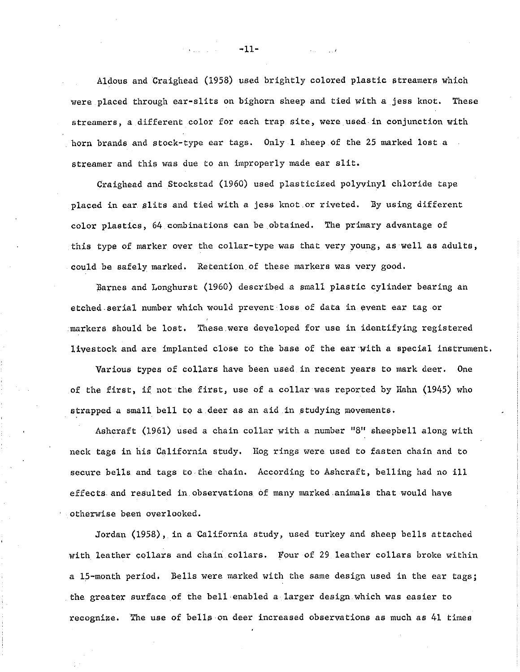Aldous and Craighead (1958) used brightly colored plastic streamers which were placed through ear-slits on bighorn sheep and tied with a jess knot. These streamers, a different color for each trap site, were used in conjunction with horn brands and stock-type ear tags. Only 1 sheep of the 25 marked lost a streamer and this was due to an improperly made ear slit.

Craighead and Stockstad (1960) used plasticized polyvinyl chloride tape placed in ear slits and tied with a jess knot.or riveted. By using different color plastics, 64 combinations can be obtained. The primary advantage of this type of marker over the collar-type was that very young, as well as adults, could be safely marked. Retention of these markers was very good.

Barnes and Longhurst (1960) described a small plastic cylinder bearing an etched serial number which would prevent loss of data in event ear tag or markers should be lost. These were developed for use in identifying registered livestock and are implanted close to the base of the ear·with a special instrument.

Various types of collars have been used in recent years to mark deer. One of the first, if not the first, use of a collar was reported by Hahn (1945) who strapped a small bell to a deer as an aid in studying movements.

Ashcraft (1961) used a chain collar with a number "8" sheepbell along with neck tags in his California study. Hog rings were used to fasten chain and to secure bells and tags to the chain. According to Ashcraft, belling had no ill effects. and resulted in observations. of many marked animals that would have otherwise been overlooked.

Jordan (1958), in a California study, used turkey and sheep bells attached with leather collars and chain collars. Four of 29 leather collars broke within a 15-month period, Bells were marked with the same design used in the ear tags; the greater surface of the bell enabled a larger design which was easier to recognize. The use of bells on deer increased observations as much as 41 times

-ll-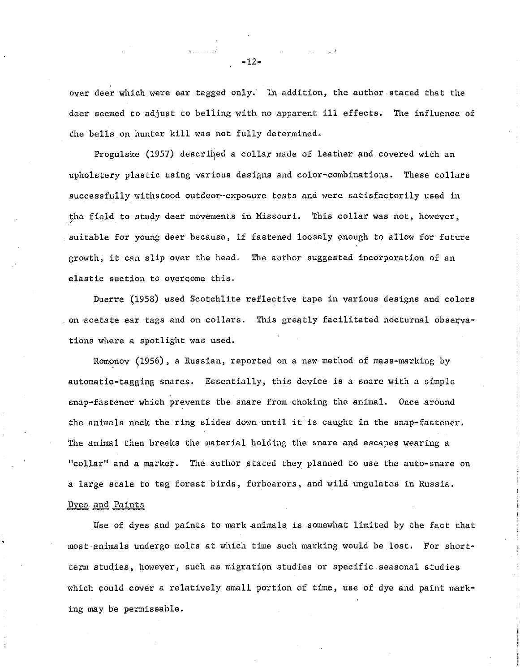over deer which were ear tagged only. ln addition, the author stated that the deer seemed to adjust to belling with no apparent ill effects. The influence of the bells on hunter kill was not fully determined.

Progulske (1957) described a collar made of leather and covered with an upholstery plastic using various designs and color-combinations. These collars successfully withstood outdoor-exposure tests and were satisfactorily used in the field to study deer movements in Missouri. This collar was not, however, suitable for young deer because, if fastened loosely enough to allow for future growth, it can slip over the head. The author suggested incorporation of an elastic section to overcome this.

Duerre (1958) used Scotchlite reflective tape in various designs and colors . on acetate ear tags and on collars. This greatly facilitated nocturnal observationa where *a* spotlight was used.

Romonov (1956), a Russian, reported on a new method of mass-marking by automatic-tagging snares, Essentially, this device is a snare with a simple snap-fastener which prevents the snare from choking the animal. Once around the animals neck the ring slides down until it is caught in the snap-fastener. The animal then breaks the material holding the snare and escapes wearing a "collar" and a marker. The author stated they planned to use the auto-snare on *a* large scale to tag forest birds, forbearers, and wild ungulates in Russia. Dyes and Paints

Use of dyes and paints to mark animals is somewhat limited by the fact that most animals undergo molts *at* which time such marking would be lost. for short· term studies, however, such as migration studies or specific seasonal studies which could cover *a* relatively small portion of time, use of dye and paint mark• ing may be permissable.

 $-12-$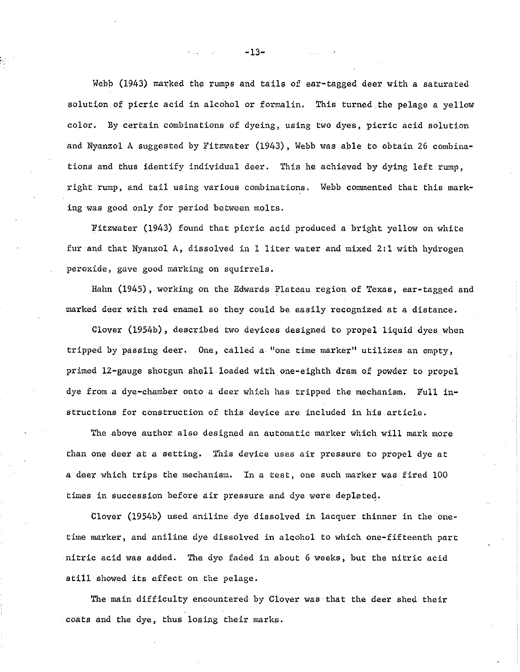Webb (1943) marked the rumps and tails of ear~tagged deer with a saturated solution of picric acid in alcohol or formalin. This turned the pelage a yellow color. By certain combinations of dyeing, using two dyes, picric acid solution and Nyanzol A suggested by Yitzwater (1943), Webb was able to obtain 26 combinations and thus identify individual deer. This he achieved by dying left rump, right rump, and tail using various combinations. Webb commented that this marking was good only for period between molts.

Fitzwater (1943) found that picric acid produced a bright yellow on white fur and that Nyanzol A, dissolved in 1 liter water and mixed 2;1 with hydrogen peroxide, gave good marking on squirrels.

Hahn (1945), working on the Edwards Plateau region of Texas, ear-tagged and marked deer with red enamel so they could be easily recognized at a distance.

Clover (l954b), described two deyices designed *to* propel liquid dyes when tripped by passing deer. One, called a "one time marker" utilizes an empty, primed 12-gauge shotgun shell loaded with one-eighth dram of powder to propel dye from a dye-chamber onto a deer which has tripped the mechanism. Full instructions for construction of this device are included in his article.

The above author also designed an automatic marker which will mark more than one deer at a setting. This device uses air pressure to propel dye at a deer which trips the mechanism. In a test, one such marker was fired 100 times in succession before air pressure and dye were depleteq.

Clover (1954b) used aniline dye dissolved in lacquer thinner in the onetime marker, and aniline dye dissolved in alqohol to which one-fifteenth part nitric acid was added. The dye faded in about 6 weeks, but the nitric acid still showed its effect on the pelage.

The main difficulty encountered by Clover was that the deer shed their coats and the dye, thus losing their marks.

~13-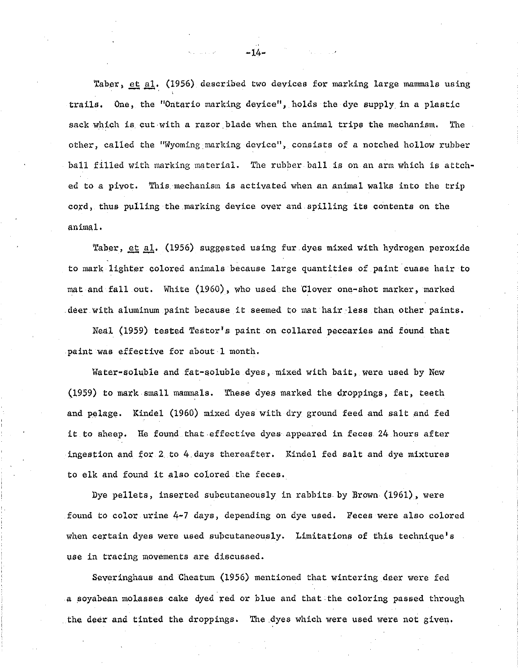Taber, *et al.* (1956) described two devices for marking large mammals using trails. One, the "Ontario marking device", holds the dye supply in a plastic sack which is cut with a razor blade when the animal trips the mechanism. The other, called the "Wyoming marking device", consists of a notched hollow rubber ball filled with marking material. The rubber ball is on an arm which is attched to a pivot. This mechanism is activated when an animal walks into the trip cord, thus pulling the marking device over and spilling its contents on the animal.

Taber, et al. (1956) suggested using fur dyes mixed with hydrogen peroxide to mark lighter colored animals because large quantities of paint cuase hair to mat and fall out. White (1960), who used the Clover one-shot marker, marked deer with aluminum paint because it seemed to mat hair less than other paints.

Neal (1959) tested Testor's paint on collared peccaries and found that paint was effective for about·l month.

Water-soluble and fat-soluble dyes, mixed with bait, were used by New (1959) *to* mark small mannnals. These dyes marked the droppings, fat, teeth and pelage. Kindel (1960) mixed dyes with dry ground feed and salt and fed it to sheep. He found that effective dyes appeared in feces 24 hours after ingestion and for 2 *to* 4 days thereafter. Kindel fed salt and dye mixtures to elk and found it also colored the feces.

Dye pellets, inserted subcutaneously in rabbits by Brown (1961), were found to color urine 4-7 days, depending on dye used. Feces were also colored when certain dyes were used subcutaneously. Limitations of this technique's use in tracing movements are discussed.

Severinghaus and Cheatum (1956) mentioned that wintering deer were fed a soyabean molasses cake dyed red or blue and that the coloring passed through the deer and tinted the droppings. The dyes which were used were not given.

 $-14-$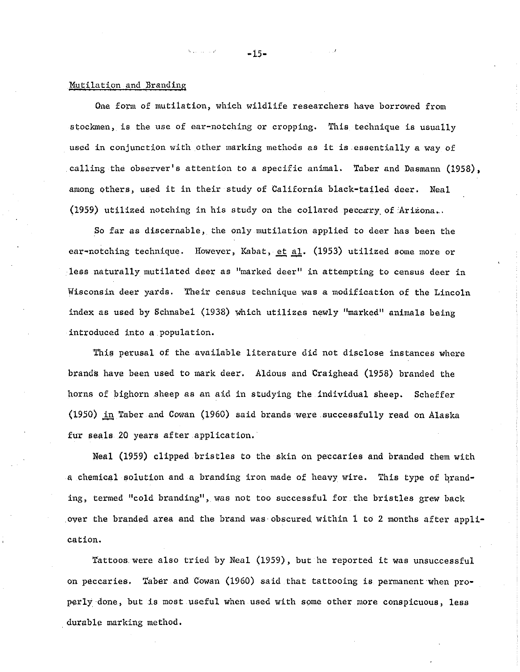#### Mutilation and Branding

One form of mutilation, which wildlife researchers have borrowed from stockmen, is the use of ear-notching or cropping. This technique is usually used in conjunction with other marking methods as it is essentially a way of calling the observer's attention to a specific animal. Taber and Dasmann (1958), among others, used it in their study of California black-tailed deer. Neal (1959) utilized notching in his study on the collared peccary of 'Arizona...

So far as discernable, the only mutilation applied to deer has been the ear-notching technique. However, Kabat,  $\underline{et}$  al. (1953) utilized some more or .less naturally mutilated deer as "marked deer" in attempting to census deer in Wisconsin deer yards. Their census technique was a modification of the Lincoln index as used by Schnabel (1938) which utilizes newly "marked" animals being introduced into a population.

this perusal of the available literature did not disclose instances where brands. have been used to mark deer. Aldous and Craighead (1958) branded the horns of bighorn sheep as an aid in studying the individual sheep. Scheffer  $(1950)$  in Taber and Cowan  $(1960)$  said brands were successfully read on Alaska fur seals 20 years after application.

Neal (1959) clipped bristles to the skin on peccaries and branded them with a chemical solution and a branding iron made of heavy wire. This type of branding, termed "cold branding", was not too successful for the bristles grew back over the branded area and the brand was obscured within 1 to 2 months after appli· cation.

'tattoos were also tried by Neal (1959), but he reported it was unsuccessful on peccaries. 'faber and Cowan (1960) said that tattooing is permanent when pro· perly done, but is most useful when used with some other more conspicuous, less durable marking method.

 $-15-$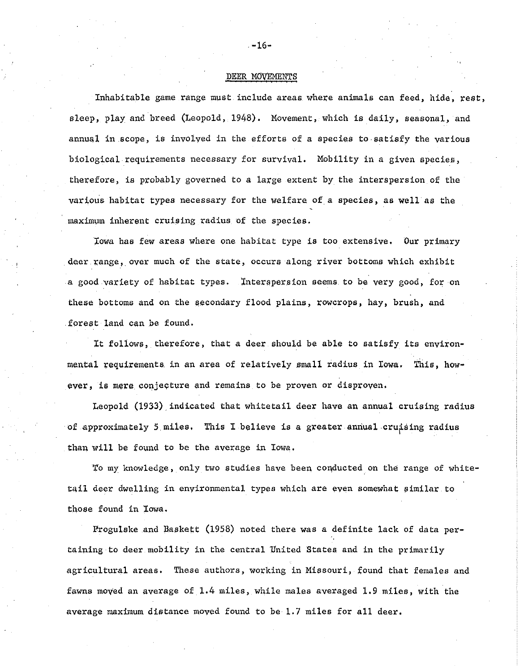## DEER MOVEMENTS

Inhabitable game range must include areas where animals can feed, hide, rest, sleep, play and breed (Leopold, 1948). Movement, which is daily, seasonal, and annual in scope, is involved in the efforts of a species to satisfy the various biological requirements necessary for survival. Mobility in a given species, therefore, is probably governed to a large extent by the interspersion of the various habitat types necessary for the welfare of a species, as well as the maximum inherent cruising radius of the species.

Jowa has few areas where one habitat type is too extensive. Our primary deer range, over much of the state, occurs along river bottoms which exhibit a good variety of habitat types. Interspersion seems to be very good, for on these bottoms and on the secondary flood plains, rowcrops, hay, brush, and £orest land can be found.

It follows, therefore, that a deer should be able to satisfy its environmental requirements in an area of relatively small radius in Iowa. This, however, is mere conjecture and remains to be proven or disproven.

Leopold (1933) indicated that whitetail deer have an annual cruising radius of approximately 5 miles. This I believe is a greater annual cruising radius than will be found to be the average in Iowa.

ro my knowledge, only two studies have been conducted on the range of whitetail deer dwelling in environmental types which are even somewhat similar to those found in Iowa.

Progulske and Baskett (1958) noted there was a definite lack of data pertaining to deer mobility in the central Vnited States and in the primarily agricultural areas. These authors, working in Missouri, found that females and fawns moved an average of 1.4 miles, while males averaged 1. 9 miles, with the average maximum distance moved found to be 1.7 miles for all deer.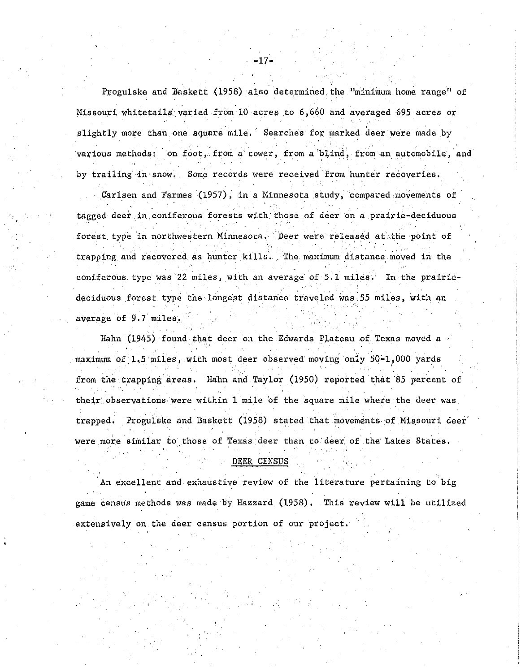Progulske and Baskett (1958) also determined the "minimum home range" of Missouri whitetails varied from 10 acres to 6,660 and averaged 695 acres or slightly more than one square mile. Searches for marked deer were made by various methods: on foot, from a tower, from a blind, from an automobile, and by trailing in snow. Some records were received from hunter recoveries.

Garlsen and Farmes (1957), in a Minnesota study, compared movements of tagged deer in.coniferous forests with' those of deer on a prairie-deciduous forest type in northwestern Minnesota. Deer were released at the point of trapping and recovered as hunter kills. The maximum distance moved in the coniferous type was 22 miles, with an average of 5.1 miles. In the prairiedeciduous forest type the longest distance traveled was 55 miles, with an average of 9.7 miles.

Hahn (1945) found that deer on the Edwards Plateau of Texas moved a maximum of  $1.5$  miles, with most deer observed moving only  $50-1,000$  yards from the trapping areas. Hahn and Taylor (1950) reported that 85 percent of their observations were within 1 mile of the square mile where the deer was trapped. Progulske and Baskett (1958) stated that movements of Missouri deer were more similar to those of Texas deer than to deer of the Lakes States.

## DEER CENSUS

'An excellent and exhaustive review of the literature pertaining to'big game census methods was made by Hazzard (1958). This review will be utilized extensively on the deer census portion of our project.·

~17-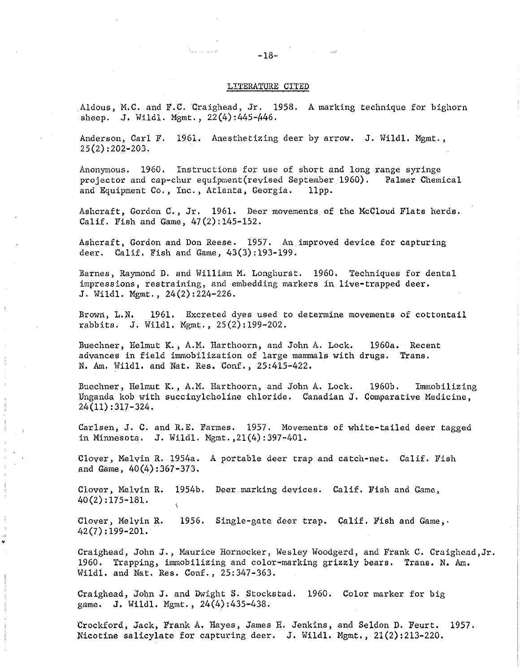#### LITERATURE CITED

Aldous, M.C. and F.C. Craighead, Jr. 1958. A marking technique for bighorn sheep. J. Wildl. Mgmt.,  $22(4)$ : 445-446.

Anderson, Carl F. 1961. Anesthetizing deer by arrow. J. Wildl. Mgmt., 25(2):202-203.

Anonymous. 1960. Instructions for use of short and long range syringe projector and cap-chur equipment(revised September 1960). Palmer Chemical and Equipment Co., Inc., Atlanta, Georgia. 11pp.

Ashcraft, Gordon C., Jr. 1961. Deer movements of the McCloud Flats herds. Calif. Fish and Game,  $47(2):145-152$ .

Ashcraft, Gordon and Don Reese. 1957. An improved device for capturing deer. Calif. Fish and Game, 43(3):193-199.

Barnes, Raymond D. and William M. Longhurst. 1960. Techniques for dental impressions, restraining, and embedding markers in live-trapped deer. J. Wildl. Mgmt., 24(2):224-226.

Brown, L.N. 1961. Excreted dyes used to determine movements of cottontail rabbits. J. Wildl. Mgmt., 25(2):199-202.

Buechner, Helmut K., A.M. Harthoorn, and John A. Lock. advances in field immobilization of large mammals with drugs. Trans. N. Am. Wildl. and Nat. Res. Conf., 25:415-422. 1960a. Recent

Buechner, Helmut K., A.M. Harthoorn, and John A. Lock. 1960b. Immobilizing Unganda kob with succinylcholine chloride. Canadian J. Comparative Medicine, 24(11):317-324.

Carlsen, J. C. and R.E. Farmes. 1957. Movements of white-tailed deer tagged in Minnesota. J. Wildl. Mgmt.,21(4):397-401.

Clover, Melvin R. 1954a. A portable deer trap and catch-net. Calif. Fish and Game, 40(4):367-373.

Clover, Melvin R. 1954b. Deer marking devices. Cali£. Fish and Game, 40(2) :175-181.

Clover, Melyin R. 1956. Single-gate deer trap. Calif. Fish and Game,. 42 (7): 199-201. '

•

Craighead, John J., Maurice Hornocker, Wesley Woodgerd, and Frank C. Craighead,Jr. 1960. Trapping, immobilizing and color-marking grizzly bears. Trans. N. Am. Wildl. and Nat. Res. Conf., 25:347~363.

Craighead, John J. and Dwight S. Stockstad. 1960. Color marker for big game. J, Wildl. Mgmt., 24(4) :435-438.

Crockford, Jack, Frank A. Hayes, James H. Jenkins, and Seldon D. Feurt. 1957. Nicotine salicylate for capturing deer. J. Wildl. Mgmt., 21(2):213-220.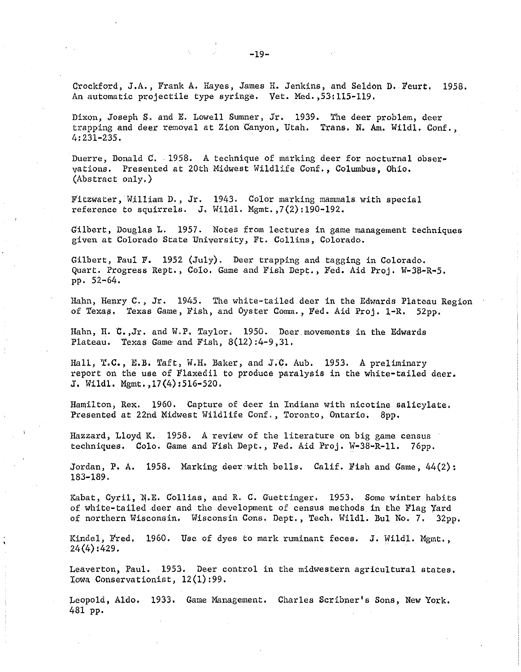Crockford, J.A., Frank A. Hayes, James H. Jenkins, and Seldon D. Feurt. 1958. An automatic projectile type syringe, Vet. Med. ,53:115-119.

Dixon, Joseph S. and E. Lowell Sumner, Jr. 1939. The deer problem, deer trapping and deer removal at Zion Canyon, Utah. Trans, N. Am. Wildl. Conf., 4:231-235.

Duerre, Donald C. 1958. A technique of marking deer for nocturnal observations. Presented at 20th Midwest Wildlife Conf., Columbus, Ohio. (Abstract only.)

Fitzwater, William D., Jr. 1943. Color marking mammals with special reference to squirrels. J. Wildl. Mgmt.,7(2):190-l92.

Gilbert, Douglas L. 1957. Notes from lectures in game management techniques given at Colorado State University, Ft. Collins, Colorado.

Gilbert, Paul F. 1952 (July). Deer trapping and tagging in Colorado. Quart. Progress Rept., Colo. Game and Fish Dept., Fed. Aid Proj. W-38-R-5. pp. 52-64.

Hahn, Henry C., Jr. 1945. The white-tailed deer in the Edwards Plateau Region of Texas. Texas Game, Fish, and Oyster Comm., Fed. Aid Proj. 1-R. 52pp.

Hahn, H. C., Jr. and W.P. Taylor. 1950. Deer movements in the Edwards Plateau. Texas Game and Fish, 8(12):4-9,31.

Hall, T.C., E.B. Taft, W.H. Baker, and J.C. Aub. 1953. A preliminary report on the use of Flaxedil to produce paralysis in the white-tailed deer. J. Wildl. Mgmt.,l7(4):516-520.

Hamilton, Rex. 1960. Capture of deer in Indiana with nicotine salicylate. Presented at 22nd Midwest Wildlife Conf. , Toronto, Ontario. 8pp.

Hazzard, Lloyd K. 1958. A review of the literature on big game census techniques. Colo. Game and Fish Dept., Fed. Aid Proj. W-38-R-11. 76pp.

Jordan, P. A. 1958. Marking deer with bells. Calif. Fish and Game, 44(2): 183-189.

Kabat, Cyril, N.E. Collias, and R. C. Guettinger. 1953. Some winter habits of white-tailed deer and the development of census methods in the Flag Yard of northern Wisconsin. Wisconsin Cons. Dept., Tech. Wildl. Bul No. 7. 32pp.

Kindel, Fred. 1960. Use of dyes to mark ruminant feces. J. Wildl. Mgmt., 24(4):429.

Leaverton, Paul. 1953. Deer control in the midwestern agricultural states. Iowa Conservationist, 12(1):99.

Leopold, Aldo, 1933, Game Management. Charles Scribner's Sons, New York. 481 pp.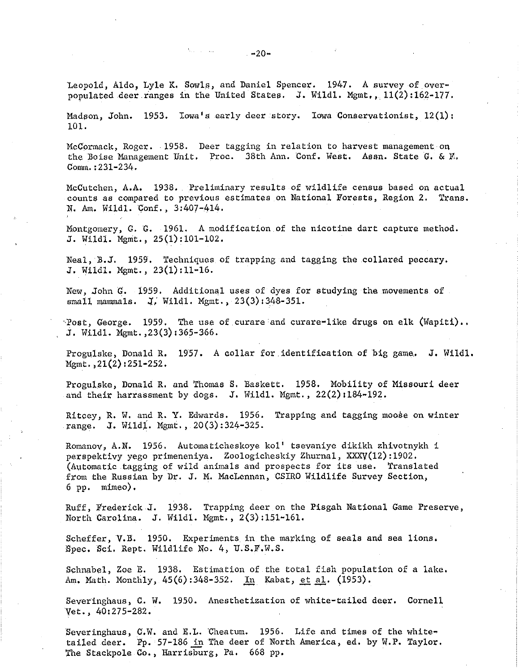**Marchan State** 

Leopold, Aldo, Lyle K. Sow1g, and Daniel Spencer. 1947. A survey of overpopulated deer ranges in the United States. J. Wildl. Mgmt.,  $11(2): 162-177$ .

Madson, John. 1953. Iowa's early deer story. Iowa Conservationist,  $12(1)$ : 101.

McCormack, Roger. 1958. Deer tagging in relation to harvest management on the Boise Management Unit. Proc. 38th Ann. Conf. West. Assn. State G. & E. Comm. ;231-234.

McCutchen, A.A. 1938. Preliminary results of wildlife census based on actual counts as compared to previous estimates on National Forests, Region 2. Trans. N. Am. Wildt. Conf., 3:407-414.

Montgomery, G. G. 1961. A modification of the nicotine dart capture method. J. Wildt. Mgmt., 25(1):101-102.

Neal, B.J. 1959. Techniques of trapping and tagging the collared peccary. J. Wildl. Mgmt., 23(1):11-16.

New, John G. 1959. Additional uses of dyes for studying the movements of small mammals. *J*, Wildl. Mgmt., 23(3):348-351.

 $\cdot$ Post, George. 1959. The use of curare and curare-like drugs on elk (Wapiti).. J. Wildl. Mgmt.,23(3):365-366.

Progulske, Donald R. 1957. A collar for identification of big game. J. Wildl. Mgmt.,21(2):251-252.

Progulske, Donald R. and Thomas S, Baskett. 1958. Mobility of Missouri deer and their harrassment by dogs. J. Wildl. Mgmt.,  $22(2)$ :184-192.

Ritcey, R. w. and R. Y. Edwards. 1956. Trapping and tagging moose on winter range. J. Wild1. Mgmt., 20(3):324-325.

Romanov, A.N. 1956. Automaticheskoye kol' tsevaniye dikikh zhivotnykh i perspektivy yego primeneniya. Zoologicheskiy Zhurnal, XXXV(l2):1902. (Automatic tagging of wild animals and prospects for its use. Translated from the Russian by Dr. J. M. MacLennan, CSIRO Wildlife Survey Section, 6 pp. mimeo),

Ruff, Frederick.J. 1938. Trapping deer on the Pisgah National Game Preserve, North Carolina. J. Wildt. Mgmt., 2(3):151·161.

Scheffer, V.B. 1950. Experiments in the marking of seals and sea lions. Spec. Sci. Rept. Wildlife No. 4, U.S.F.W.S.

Schnabel, Zoe E. 1938. Estimation of the total fish population of a lake. Am. Math. Monthly, 45(6):348-352. In Kabat, et al. (1953).

Severinghaus, C. W, 1950. Anesthetization of white-tailed deer, Cornell Vet., 40:275-282.

Severinghaus, C.W. and E.L. Cheatum. 1956. Life and times of the whitetailed deer. Pp. 57-186 in The deer of North America, ed. by w.P. Taylor. The Stackpole Co., Harrisburg, Pa. 668 pp.